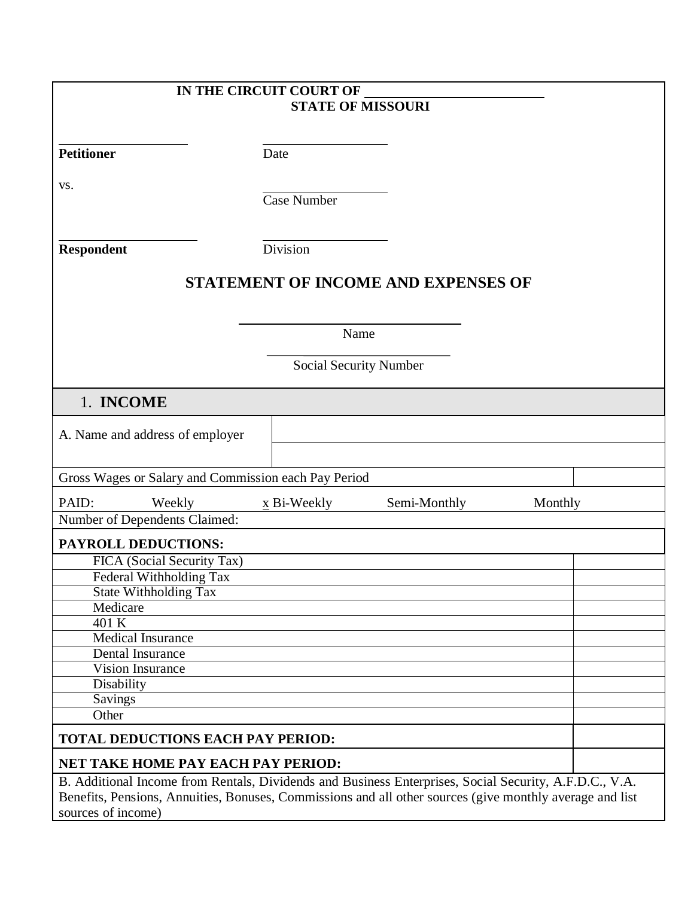| IN THE CIRCUIT COURT OF                                                                                                                                                                                            |                           |                                            |         |  |
|--------------------------------------------------------------------------------------------------------------------------------------------------------------------------------------------------------------------|---------------------------|--------------------------------------------|---------|--|
|                                                                                                                                                                                                                    | <b>STATE OF MISSOURI</b>  |                                            |         |  |
|                                                                                                                                                                                                                    |                           |                                            |         |  |
| <b>Petitioner</b>                                                                                                                                                                                                  | Date                      |                                            |         |  |
|                                                                                                                                                                                                                    |                           |                                            |         |  |
| VS.                                                                                                                                                                                                                | <b>Case Number</b>        |                                            |         |  |
|                                                                                                                                                                                                                    |                           |                                            |         |  |
|                                                                                                                                                                                                                    |                           |                                            |         |  |
| <b>Respondent</b>                                                                                                                                                                                                  | Division                  |                                            |         |  |
|                                                                                                                                                                                                                    |                           | <b>STATEMENT OF INCOME AND EXPENSES OF</b> |         |  |
|                                                                                                                                                                                                                    |                           |                                            |         |  |
|                                                                                                                                                                                                                    | Name                      |                                            |         |  |
|                                                                                                                                                                                                                    |                           |                                            |         |  |
|                                                                                                                                                                                                                    | Social Security Number    |                                            |         |  |
| 1. INCOME                                                                                                                                                                                                          |                           |                                            |         |  |
|                                                                                                                                                                                                                    |                           |                                            |         |  |
| A. Name and address of employer                                                                                                                                                                                    |                           |                                            |         |  |
|                                                                                                                                                                                                                    |                           |                                            |         |  |
| Gross Wages or Salary and Commission each Pay Period                                                                                                                                                               |                           |                                            |         |  |
| PAID:<br>Weekly                                                                                                                                                                                                    | $\underline{x}$ Bi-Weekly | Semi-Monthly                               | Monthly |  |
| Number of Dependents Claimed:                                                                                                                                                                                      |                           |                                            |         |  |
| <b>PAYROLL DEDUCTIONS:</b>                                                                                                                                                                                         |                           |                                            |         |  |
| FICA (Social Security Tax)                                                                                                                                                                                         |                           |                                            |         |  |
| Federal Withholding Tax<br><b>State Withholding Tax</b>                                                                                                                                                            |                           |                                            |         |  |
| Medicare                                                                                                                                                                                                           |                           |                                            |         |  |
| 401 K                                                                                                                                                                                                              |                           |                                            |         |  |
| <b>Medical Insurance</b>                                                                                                                                                                                           |                           |                                            |         |  |
| <b>Dental Insurance</b>                                                                                                                                                                                            |                           |                                            |         |  |
| <b>Vision Insurance</b>                                                                                                                                                                                            |                           |                                            |         |  |
| Disability<br><b>Savings</b>                                                                                                                                                                                       |                           |                                            |         |  |
| Other                                                                                                                                                                                                              |                           |                                            |         |  |
|                                                                                                                                                                                                                    |                           |                                            |         |  |
| <b>TOTAL DEDUCTIONS EACH PAY PERIOD:</b>                                                                                                                                                                           |                           |                                            |         |  |
| <b>NET TAKE HOME PAY EACH PAY PERIOD:</b>                                                                                                                                                                          |                           |                                            |         |  |
| B. Additional Income from Rentals, Dividends and Business Enterprises, Social Security, A.F.D.C., V.A.<br>Benefits, Pensions, Annuities, Bonuses, Commissions and all other sources (give monthly average and list |                           |                                            |         |  |
| sources of income)                                                                                                                                                                                                 |                           |                                            |         |  |
|                                                                                                                                                                                                                    |                           |                                            |         |  |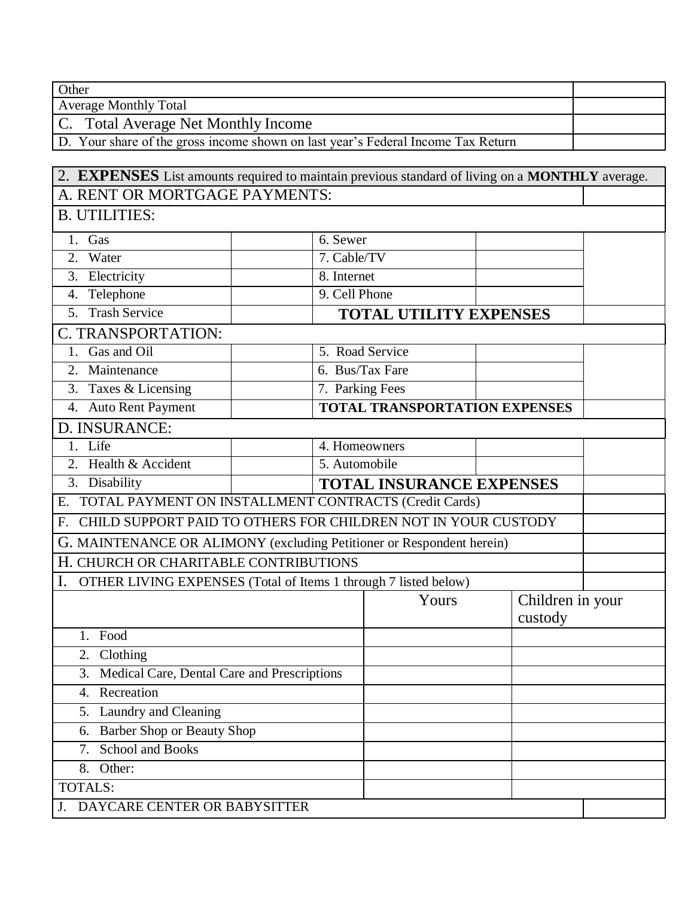**Other** 

Average Monthly Total

C. Total Average Net Monthly Income

D. Your share of the gross income shown on last year's Federal Income Tax Return

| 2. <b>EXPENSES</b> List amounts required to maintain previous standard of living on a MONTHLY average. |                               |                                      |         |                  |  |  |  |
|--------------------------------------------------------------------------------------------------------|-------------------------------|--------------------------------------|---------|------------------|--|--|--|
| A. RENT OR MORTGAGE PAYMENTS:                                                                          |                               |                                      |         |                  |  |  |  |
| <b>B. UTILITIES:</b>                                                                                   |                               |                                      |         |                  |  |  |  |
| 1. Gas                                                                                                 | 6. Sewer                      |                                      |         |                  |  |  |  |
| 2. Water                                                                                               |                               | 7. Cable/TV                          |         |                  |  |  |  |
| 3. Electricity                                                                                         | 8. Internet                   |                                      |         |                  |  |  |  |
| 4. Telephone                                                                                           |                               | 9. Cell Phone                        |         |                  |  |  |  |
| 5. Trash Service                                                                                       | <b>TOTAL UTILITY EXPENSES</b> |                                      |         |                  |  |  |  |
| C. TRANSPORTATION:                                                                                     |                               |                                      |         |                  |  |  |  |
| 1. Gas and Oil                                                                                         |                               | 5. Road Service                      |         |                  |  |  |  |
| 2. Maintenance                                                                                         |                               | 6. Bus/Tax Fare                      |         |                  |  |  |  |
| 3. Taxes & Licensing                                                                                   |                               | 7. Parking Fees                      |         |                  |  |  |  |
| 4. Auto Rent Payment                                                                                   |                               | <b>TOTAL TRANSPORTATION EXPENSES</b> |         |                  |  |  |  |
| D. INSURANCE:                                                                                          |                               |                                      |         |                  |  |  |  |
| 1. Life                                                                                                |                               | 4. Homeowners                        |         |                  |  |  |  |
| 2. Health & Accident                                                                                   |                               | 5. Automobile                        |         |                  |  |  |  |
| 3. Disability                                                                                          |                               | <b>TOTAL INSURANCE EXPENSES</b>      |         |                  |  |  |  |
| E. TOTAL PAYMENT ON INSTALLMENT CONTRACTS (Credit Cards)                                               |                               |                                      |         |                  |  |  |  |
| F. CHILD SUPPORT PAID TO OTHERS FOR CHILDREN NOT IN YOUR CUSTODY                                       |                               |                                      |         |                  |  |  |  |
| G. MAINTENANCE OR ALIMONY (excluding Petitioner or Respondent herein)                                  |                               |                                      |         |                  |  |  |  |
| H. CHURCH OR CHARITABLE CONTRIBUTIONS                                                                  |                               |                                      |         |                  |  |  |  |
| OTHER LIVING EXPENSES (Total of Items 1 through 7 listed below)                                        |                               |                                      |         |                  |  |  |  |
|                                                                                                        |                               | Yours                                | custody | Children in your |  |  |  |
| 1. Food                                                                                                |                               |                                      |         |                  |  |  |  |
| $\overline{2}$ . Clothing                                                                              |                               |                                      |         |                  |  |  |  |
| 3.<br>Medical Care, Dental Care and Prescriptions                                                      |                               |                                      |         |                  |  |  |  |
| 4. Recreation                                                                                          |                               |                                      |         |                  |  |  |  |
| 5. Laundry and Cleaning                                                                                |                               |                                      |         |                  |  |  |  |
| 6. Barber Shop or Beauty Shop                                                                          |                               |                                      |         |                  |  |  |  |
| <b>School and Books</b><br>7.                                                                          |                               |                                      |         |                  |  |  |  |
| 8. Other:                                                                                              |                               |                                      |         |                  |  |  |  |
| <b>TOTALS:</b>                                                                                         |                               |                                      |         |                  |  |  |  |
| J. DAYCARE CENTER OR BABYSITTER                                                                        |                               |                                      |         |                  |  |  |  |